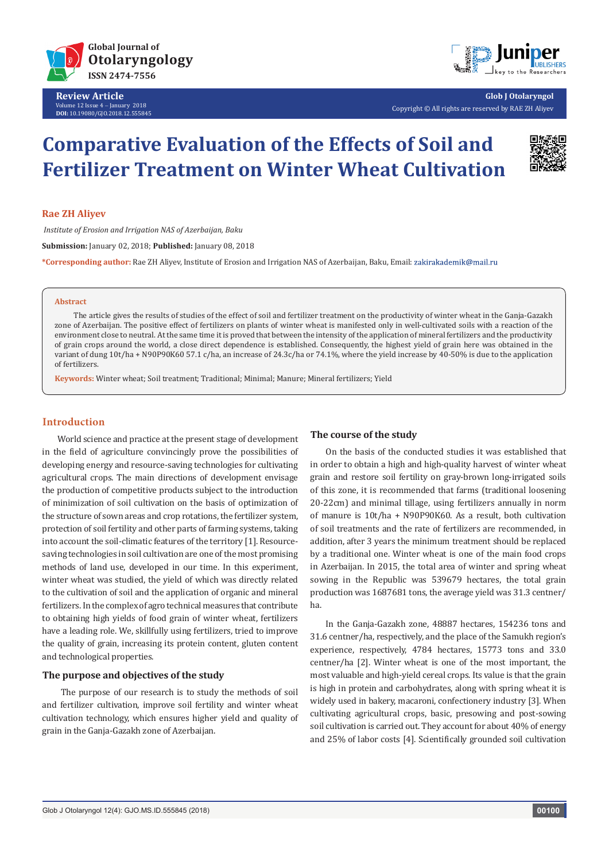

**Review Article** Volume 12 Issue 4 - January 2018 **DOI:** [10.19080/GJO.2018.12.55584](http://dx.doi.org/10.19080/GJO.2018.12.555845)5



**Glob J Otolaryngol** Copyright © All rights are reserved by RAE ZH Aliyev

# **Comparative Evaluation of the Effects of Soil and Fertilizer Treatment on Winter Wheat Cultivation**



# **Rae ZH Aliyev**

 *Institute of Erosion and Irrigation NAS of Azerbaijan, Baku* **Submission:** January 02, 2018; **Published:** January 08, 2018

**\*Corresponding author:** Rae ZH Aliyev, Institute of Erosion and Irrigation NAS of Azerbaijan, Baku, Email:

#### **Abstract**

 The article gives the results of studies of the effect of soil and fertilizer treatment on the productivity of winter wheat in the Ganja-Gazakh zone of Azerbaijan. The positive effect of fertilizers on plants of winter wheat is manifested only in well-cultivated soils with a reaction of the environment close to neutral. At the same time it is proved that between the intensity of the application of mineral fertilizers and the productivity of grain crops around the world, a close direct dependence is established. Consequently, the highest yield of grain here was obtained in the variant of dung 10t/ha + N90P90K60 57.1 c/ha, an increase of 24.3c/ha or 74.1%, where the yield increase by 40-50% is due to the application of fertilizers.

**Keywords:** Winter wheat; Soil treatment; Traditional; Minimal; Manure; Mineral fertilizers; Yield

# **Introduction**

World science and practice at the present stage of development in the field of agriculture convincingly prove the possibilities of developing energy and resource-saving technologies for cultivating agricultural crops. The main directions of development envisage the production of competitive products subject to the introduction of minimization of soil cultivation on the basis of optimization of the structure of sown areas and crop rotations, the fertilizer system, protection of soil fertility and other parts of farming systems, taking into account the soil-climatic features of the territory [1]. Resourcesaving technologies in soil cultivation are one of the most promising methods of land use, developed in our time. In this experiment, winter wheat was studied, the yield of which was directly related to the cultivation of soil and the application of organic and mineral fertilizers. In the complex of agro technical measures that contribute to obtaining high yields of food grain of winter wheat, fertilizers have a leading role. We, skillfully using fertilizers, tried to improve the quality of grain, increasing its protein content, gluten content and technological properties.

# **The purpose and objectives of the study**

 The purpose of our research is to study the methods of soil and fertilizer cultivation, improve soil fertility and winter wheat cultivation technology, which ensures higher yield and quality of grain in the Ganja-Gazakh zone of Azerbaijan.

#### **The course of the study**

On the basis of the conducted studies it was established that in order to obtain a high and high-quality harvest of winter wheat grain and restore soil fertility on gray-brown long-irrigated soils of this zone, it is recommended that farms (traditional loosening 20-22cm) and minimal tillage, using fertilizers annually in norm of manure is 10t/ha + N90P90K60. As a result, both cultivation of soil treatments and the rate of fertilizers are recommended, in addition, after 3 years the minimum treatment should be replaced by a traditional one. Winter wheat is one of the main food crops in Azerbaijan. In 2015, the total area of winter and spring wheat sowing in the Republic was 539679 hectares, the total grain production was 1687681 tons, the average yield was 31.3 centner/ ha.

In the Ganja-Gazakh zone, 48887 hectares, 154236 tons and 31.6 centner/ha, respectively, and the place of the Samukh region's experience, respectively, 4784 hectares, 15773 tons and 33.0 centner/ha [2]. Winter wheat is one of the most important, the most valuable and high-yield cereal crops. Its value is that the grain is high in protein and carbohydrates, along with spring wheat it is widely used in bakery, macaroni, confectionery industry [3]. When cultivating agricultural crops, basic, presowing and post-sowing soil cultivation is carried out. They account for about 40% of energy and 25% of labor costs [4]. Scientifically grounded soil cultivation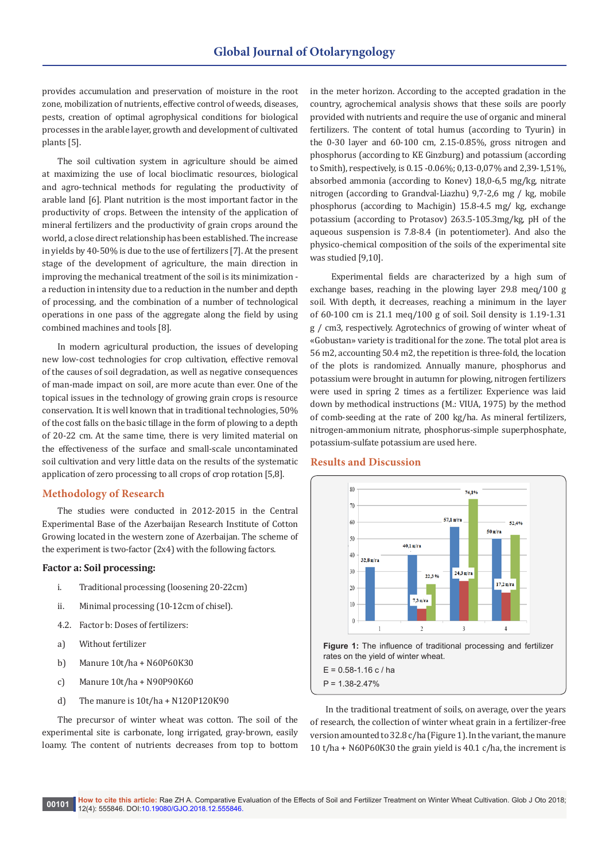provides accumulation and preservation of moisture in the root zone, mobilization of nutrients, effective control of weeds, diseases, pests, creation of optimal agrophysical conditions for biological processes in the arable layer, growth and development of cultivated plants [5].

The soil cultivation system in agriculture should be aimed at maximizing the use of local bioclimatic resources, biological and agro-technical methods for regulating the productivity of arable land [6]. Plant nutrition is the most important factor in the productivity of crops. Between the intensity of the application of mineral fertilizers and the productivity of grain crops around the world, a close direct relationship has been established. The increase in yields by 40-50% is due to the use of fertilizers [7]. At the present stage of the development of agriculture, the main direction in improving the mechanical treatment of the soil is its minimization a reduction in intensity due to a reduction in the number and depth of processing, and the combination of a number of technological operations in one pass of the aggregate along the field by using combined machines and tools [8].

In modern agricultural production, the issues of developing new low-cost technologies for crop cultivation, effective removal of the causes of soil degradation, as well as negative consequences of man-made impact on soil, are more acute than ever. One of the topical issues in the technology of growing grain crops is resource conservation. It is well known that in traditional technologies, 50% of the cost falls on the basic tillage in the form of plowing to a depth of 20-22 cm. At the same time, there is very limited material on the effectiveness of the surface and small-scale uncontaminated soil cultivation and very little data on the results of the systematic application of zero processing to all crops of crop rotation [5,8].

# **Methodology of Research**

The studies were conducted in 2012-2015 in the Central Experimental Base of the Azerbaijan Research Institute of Cotton Growing located in the western zone of Azerbaijan. The scheme of the experiment is two-factor (2x4) with the following factors.

## **Factor a: Soil processing:**

- i. Traditional processing (loosening 20-22cm)
- ii. Minimal processing (10-12cm of chisel).
- 4.2. Factor b: Doses of fertilizers:
- a) Without fertilizer
- b) Manure 10t/ha + N60P60K30
- c) Manure 10t/ha + N90P90K60
- d) The manure is 10t/ha + N120P120K90

The precursor of winter wheat was cotton. The soil of the experimental site is carbonate, long irrigated, gray-brown, easily loamy. The content of nutrients decreases from top to bottom

in the meter horizon. According to the accepted gradation in the country, agrochemical analysis shows that these soils are poorly provided with nutrients and require the use of organic and mineral fertilizers. The content of total humus (according to Tyurin) in the 0-30 layer and 60-100 cm, 2.15-0.85%, gross nitrogen and phosphorus (according to KE Ginzburg) and potassium (according to Smith), respectively, is 0.15 -0.06%; 0,13-0,07% and 2,39-1,51%, absorbed ammonia (according to Konev) 18,0-6,5 mg/kg, nitrate nitrogen (according to Grandval-Liazhu) 9,7-2,6 mg / kg, mobile phosphorus (according to Machigin) 15.8-4.5 mg/ kg, exchange potassium (according to Protasov) 263.5-105.3mg/kg, pH of the aqueous suspension is 7.8-8.4 (in potentiometer). And also the physico-chemical composition of the soils of the experimental site was studied [9,10].

 Experimental fields are characterized by a high sum of exchange bases, reaching in the plowing layer 29.8 meq/100 g soil. With depth, it decreases, reaching a minimum in the layer of 60-100 cm is 21.1 meq/100 g of soil. Soil density is 1.19-1.31 g / cm3, respectively. Agrotechnics of growing of winter wheat of «Gobustan» variety is traditional for the zone. The total plot area is 56 m2, accounting 50.4 m2, the repetition is three-fold, the location of the plots is randomized. Annually manure, phosphorus and potassium were brought in autumn for plowing, nitrogen fertilizers were used in spring 2 times as a fertilizer. Experience was laid down by methodical instructions (M.: VIUA, 1975) by the method of comb-seeding at the rate of 200 kg/ha. As mineral fertilizers, nitrogen-ammonium nitrate, phosphorus-simple superphosphate, potassium-sulfate potassium are used here.

### **Results and Discussion**



 $P = 1.38 - 2.47%$ 

In the traditional treatment of soils, on average, over the years of research, the collection of winter wheat grain in a fertilizer-free version amounted to 32.8 c/ha (Figure 1). In the variant, the manure 10 t/ha + N60P60K30 the grain yield is 40.1 c/ha, the increment is